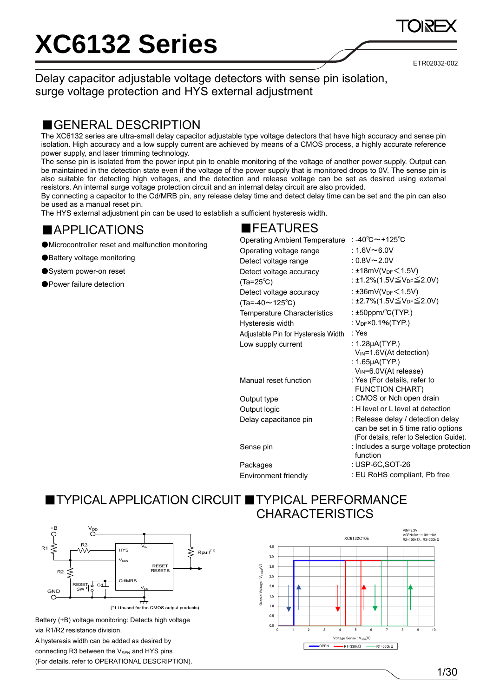ETR02032-002

Delay capacitor adjustable voltage detectors with sense pin isolation, surge voltage protection and HYS external adjustment

#### ■GENERAL DESCRIPTION

The XC6132 series are ultra-small delay capacitor adjustable type voltage detectors that have high accuracy and sense pin isolation. High accuracy and a low supply current are achieved by means of a CMOS process, a highly accurate reference power supply, and laser trimming technology.

The sense pin is isolated from the power input pin to enable monitoring of the voltage of another power supply. Output can be maintained in the detection state even if the voltage of the power supply that is monitored drops to 0V. The sense pin is also suitable for detecting high voltages, and the detection and release voltage can be set as desired using external resistors. An internal surge voltage protection circuit and an internal delay circuit are also provided.

By connecting a capacitor to the Cd/MRB pin, any release delay time and detect delay time can be set and the pin can also be used as a manual reset pin.

The HYS external adjustment pin can be used to establish a sufficient hysteresis width.

#### ■APPLICATIONS

- ●Microcontroller reset and malfunction monitoring
- ●Battery voltage monitoring
- ●System power-on reset

●Power failure detection

### ■FEATURES

| <b>Operating Ambient Temperature</b> | : -40℃~+125℃                                |
|--------------------------------------|---------------------------------------------|
| Operating voltage range              | : 1.6V $\sim$ 6.0V                          |
| Detect voltage range                 | : $0.8$ V $\sim$ 2.0V                       |
| Detect voltage accuracy              | : ±18mV(V <sub>DF</sub> < 1.5V)             |
| $(Ta=25^{\circ}C)$                   | : ±1.2%(1.5V≦V <sub>DF</sub> ≦2.0V)         |
| Detect voltage accuracy              | : $\pm 36$ mV(V <sub>DF</sub> $\leq 1.5$ V) |
| $(Ta = -40 \sim 125^{\circ}C)$       | : ±2.7%(1.5V≦V <sub>DF</sub> ≦2.0V)         |
| <b>Temperature Characteristics</b>   | : $\pm 50$ ppm/°C(TYP.)                     |
| Hysteresis width                     | : $V_{DF}$ ×0.1%(TYP.)                      |
| Adjustable Pin for Hysteresis Width  | : Yes                                       |
| Low supply current                   | : $1.28\mu$ A(TYP.)                         |
|                                      | $V_{IN}$ =1.6V(At detection)                |
|                                      | : $1.65\mu A(TYP.)$                         |
|                                      | V <sub>IN</sub> =6.0V(At release)           |
| Manual reset function                | : Yes (For details, refer to                |
|                                      | <b>FUNCTION CHART)</b>                      |
| Output type                          | : CMOS or Nch open drain                    |
| Output logic                         | : H level or L level at detection           |
| Delay capacitance pin                | : Release delay / detection delay           |
|                                      | can be set in 5 time ratio options          |
|                                      | (For details, refer to Selection Guide).    |
| Sense pin                            | : Includes a surge voltage protection       |
|                                      | function                                    |
| Packages                             | : USP-6C,SOT-26                             |
| Environment friendly                 | : EU RoHS compliant, Pb free                |

#### ■ TYPICAL APPLICATION CIRCUIT ■ TYPICAL PERFORMANCE **CHARACTERISTICS**



Battery (+B) voltage monitoring: Detects high voltage via R1/R2 resistance division. A hysteresis width can be added as desired by connecting R3 between the  $V_{\text{SEN}}$  and HYS pins (For details, refer to OPERATIONAL DESCRIPTION).



1/30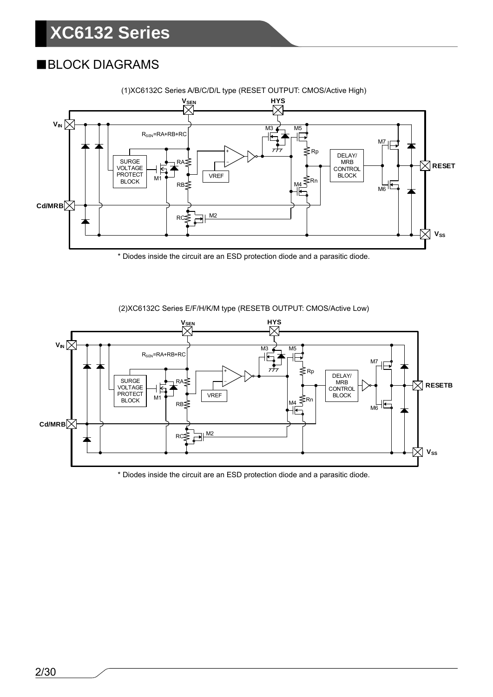### ■BLOCK DIAGRAMS



(1)XC6132C Series A/B/C/D/L type (RESET OUTPUT: CMOS/Active High)

\* Diodes inside the circuit are an ESD protection diode and a parasitic diode.



(2)XC6132C Series E/F/H/K/M type (RESETB OUTPUT: CMOS/Active Low)

\* Diodes inside the circuit are an ESD protection diode and a parasitic diode.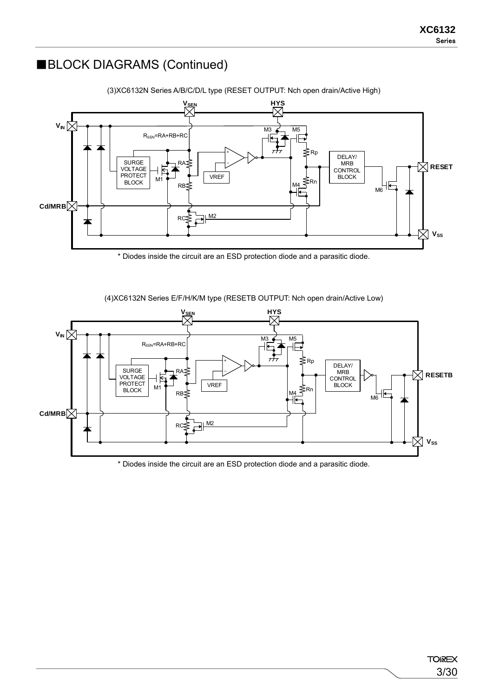### ■BLOCK DIAGRAMS (Continued)



(3)XC6132N Series A/B/C/D/L type (RESET OUTPUT: Nch open drain/Active High)

\* Diodes inside the circuit are an ESD protection diode and a parasitic diode.



(4)XC6132N Series E/F/H/K/M type (RESETB OUTPUT: Nch open drain/Active Low)

\* Diodes inside the circuit are an ESD protection diode and a parasitic diode.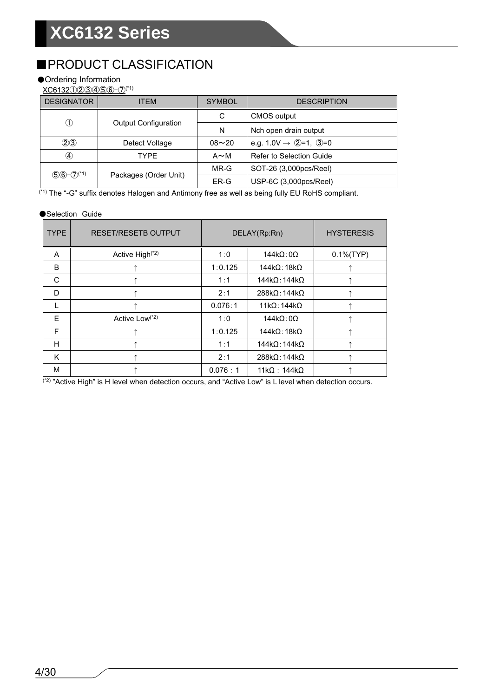### ■PRODUCT CLASSIFICATION

#### ●Ordering Information

XC6132①②③③⑤⑥-⑦<sup>(\*1)</sup>

| <b>DESIGNATOR</b>                      | ITEM                        | <b>SYMBOL</b> | <b>DESCRIPTION</b>                  |
|----------------------------------------|-----------------------------|---------------|-------------------------------------|
| $_{\tiny\textcircled{\scriptsize{1}}}$ |                             | C             | <b>CMOS</b> output                  |
|                                        | <b>Output Configuration</b> | N             | Nch open drain output               |
| (2)3                                   | Detect Voltage              | $08 - 20$     | e.g. $1.0V \rightarrow Q=1$ , $Q=0$ |
| ④                                      | TYPF                        | $A \sim M$    | Refer to Selection Guide            |
|                                        |                             | $MR-G$        | SOT-26 (3,000pcs/Reel)              |
| $(5)6-(7)$ <sup>(*1)</sup>             | Packages (Order Unit)       | ER-G          | USP-6C (3,000pcs/Reel)              |

(\*1) The "-G" suffix denotes Halogen and Antimony free as well as being fully EU RoHS compliant.

#### ●Selection Guide

| <b>TYPE</b> | <b>RESET/RESETB OUTPUT</b>  |         | DELAY(Rp:Rn)                 | <b>HYSTERESIS</b> |
|-------------|-----------------------------|---------|------------------------------|-------------------|
| A           | Active High <sup>(*2)</sup> | 1:0     | $144k\Omega:0\Omega$         | $0.1\%$ (TYP)     |
| B           |                             | 1:0.125 | $144k\Omega$ : 18k $\Omega$  |                   |
| C           |                             | 1:1     | $144k\Omega:144k\Omega$      |                   |
| D           |                             | 2:1     | $288k\Omega$ : 144k $\Omega$ |                   |
|             |                             | 0.076:1 | $11k\Omega:144k\Omega$       |                   |
| F           | Active Low(*2)              | 1:0     | $144k\Omega:0\Omega$         |                   |
| F           |                             | 1:0.125 | $144k\Omega:18k\Omega$       |                   |
| H           |                             | 1:1     | $144k\Omega:144k\Omega$      |                   |
| K           |                             | 2:1     | $288k\Omega$ : 144k $\Omega$ |                   |
| М           |                             | 0.076:1 | $11k\Omega$ : 144k $\Omega$  |                   |

 $(2)$  "Active High" is H level when detection occurs, and "Active Low" is L level when detection occurs.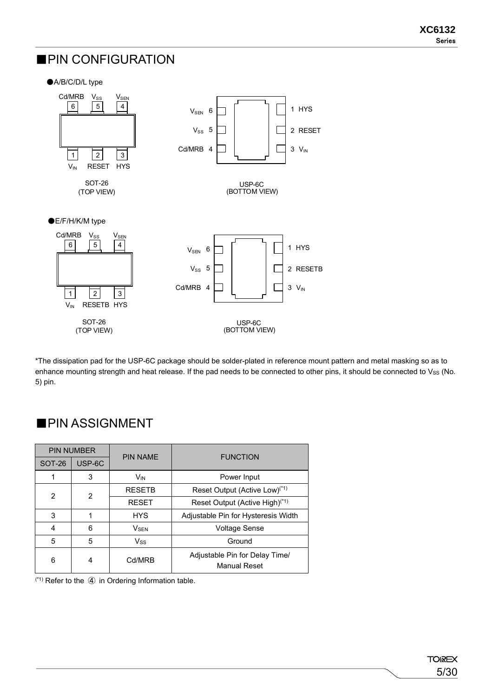#### ■PIN CONFIGURATION

#### ●A/B/C/D/L type



\*The dissipation pad for the USP-6C package should be solder-plated in reference mount pattern and metal masking so as to enhance mounting strength and heat release. If the pad needs to be connected to other pins, it should be connected to Vss (No. 5) pin.

#### PIN NUMBER PIN NAME | FUNCTION SOT-26 USP-6C 1 3 V<sub>IN</sub> V<sub>IN</sub> Power Input 2 RESETB Reset Output  $(Active Low)^{(*)}$ <br>RESET Reset Output  $(Active High)^{(*)}$ Reset Output (Active High)<sup>(\*1)</sup> 3 | 1 | HYS | Adjustable Pin for Hysteresis Width 4 6 V<sub>SEN</sub> V<sub>NEN</sub> Voltage Sense 5 5 Vss Ground 6 4 Cd/MRB Adjustable Pin for Delay Time/ Manual Reset

■PIN ASSIGNMENT

 $(1)$  Refer to the  $\overline{4}$  in Ordering Information table.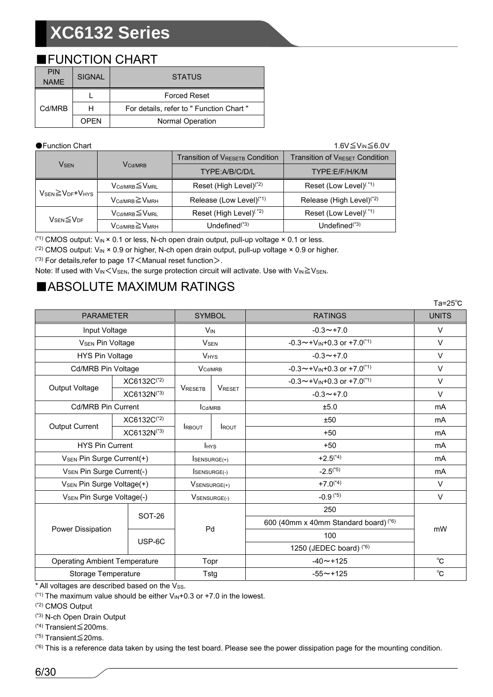#### ■FUNCTION CHART

| <b>PIN</b><br><b>NAME</b> | <b>SIGNAL</b> | <b>STATUS</b>                            |
|---------------------------|---------------|------------------------------------------|
|                           |               | <b>Forced Reset</b>                      |
| Cd/MRB                    | н             | For details, refer to " Function Chart " |
|                           | OPFN          | Normal Operation                         |

●Function Chart 1.6V≦VIN≦6.0V

|                                                      |                                         | <b>Transition of VRESETB Condition</b> | <b>Transition of VRESET Condition</b> |
|------------------------------------------------------|-----------------------------------------|----------------------------------------|---------------------------------------|
| <b>V<sub>SEN</sub></b>                               | <b>V</b> Cd/MRB                         | TYPE:A/B/C/D/L                         | TYPF:F/F/H/K/M                        |
|                                                      | $V_{\text{Cd/MRB}} \leq V_{\text{MRL}}$ | Reset (High Level) <sup>(*2)</sup>     | Reset (Low Level) <sup>(*1)</sup>     |
| $V_{\text{SEN}} \geq V_{\text{DF}} + V_{\text{HYS}}$ | $V_{Cd/MRR} \geq V_{MRH}$               | Release (Low Level) <sup>(*1)</sup>    | Release (High Level) <sup>(*2)</sup>  |
|                                                      | $V_{\text{Cd/MRB}} \leq V_{\text{MRL}}$ | Reset (High Level) <sup>(*2)</sup>     | Reset (Low Level) <sup>(*1)</sup>     |
| $V_{\text{SEN}}{\leq}V_{\text{DF}}$                  | $V_{\text{Cd/MRB}} \geq V_{\text{MRH}}$ | Undefined <sup>(*3)</sup>              | Undefined $(1, 3)$                    |

<sup>(\*1)</sup> CMOS output:  $V_{\text{IN}} \times 0.1$  or less, N-ch open drain output, pull-up voltage  $\times 0.1$  or less.

<sup>(\*2)</sup> CMOS output:  $V_{\text{IN}} \times 0.9$  or higher, N-ch open drain output, pull-up voltage  $\times 0.9$  or higher.

 $(3)$  For details, refer to page 17  $\leq$  Manual reset function  $>$ .

Note: If used with  $V_{IN}$   $\lt$  V<sub>SEN</sub>, the surge protection circuit will activate. Use with  $V_{IN}$   $\geq$  V<sub>SEN</sub>.

### ■ABSOLUTE MAXIMUM RATINGS

|                                       |                         |                        |               |                                                  | Ta= $25^{\circ}$ C |  |
|---------------------------------------|-------------------------|------------------------|---------------|--------------------------------------------------|--------------------|--|
| <b>PARAMETER</b>                      |                         | <b>SYMBOL</b>          |               | <b>RATINGS</b>                                   | <b>UNITS</b>       |  |
| Input Voltage                         |                         | $V_{IN}$               |               | $-0.3 \rightarrow +7.0$                          | V                  |  |
| <b>V<sub>SEN</sub> Pin Voltage</b>    |                         | <b>V<sub>SEN</sub></b> |               | $-0.3 \sim +V_{IN}+0.3$ or $+7.0^{(1)}$          | $\vee$             |  |
| HYS Pin Voltage                       |                         | <b>V<sub>HYS</sub></b> |               | $-0.3 \rightarrow +7.0$                          | $\vee$             |  |
| <b>Cd/MRB Pin Voltage</b>             |                         | V <sub>Cd/MRB</sub>    |               | $-0.3 \sim +V_{IN}+0.3$ or $+7.0^{(1)}$          | $\vee$             |  |
|                                       | XC6132C(*2)             |                        |               | $-0.3 \sim +V_{IN}+0.3$ or $+7.0^{(1)}$          | $\vee$             |  |
| Output Voltage                        | XC6132N <sup>(*3)</sup> | <b>VRESETB</b>         | <b>VRESET</b> | $-0.3 \rightarrow +7.0$                          | $\vee$             |  |
| <b>Cd/MRB Pin Current</b>             |                         | Cd/MRB                 |               | ±5.0                                             | mA                 |  |
|                                       | XC6132C <sup>(*2)</sup> |                        |               | ±50                                              | <b>mA</b>          |  |
| <b>Output Current</b>                 | XC6132N(*3)             | <b>IRBOUT</b>          | <b>I</b> ROUT | $+50$                                            | mA                 |  |
| <b>HYS Pin Current</b>                |                         | <b>I</b> HYS           |               | $+50$                                            | mA                 |  |
| V <sub>SEN</sub> Pin Surge Current(+) |                         | <b>SENSURGE(+)</b>     |               | $+2.5^{(4)}$                                     | mA                 |  |
| V <sub>SEN</sub> Pin Surge Current(-) |                         | ISENSURGE(-)           |               | $-2.5^{(*5)}$                                    | mA                 |  |
| V <sub>SEN</sub> Pin Surge Voltage(+) |                         | $V$ SENSURGE $(+)$     |               | $+7.0^{(4)}$                                     | $\vee$             |  |
| V <sub>SEN</sub> Pin Surge Voltage(-) |                         | VSENSURGE(-)           |               | $-0.9$ <sup>(*5)</sup>                           | $\vee$             |  |
|                                       | SOT-26                  |                        |               | 250                                              |                    |  |
| Power Dissipation                     |                         | Pd                     |               | 600 (40mm x 40mm Standard board) <sup>(*6)</sup> |                    |  |
|                                       | USP-6C                  |                        |               | 100                                              | mW                 |  |
|                                       |                         |                        |               | 1250 (JEDEC board) (*6)                          |                    |  |
| <b>Operating Ambient Temperature</b>  |                         | Topr                   |               | $-40 \sim +125$                                  | $^{\circ}$ C       |  |
| Storage Temperature                   |                         | Tstg                   |               | $-55 \sim +125$                                  | °C                 |  |

\* All voltages are described based on the Vss.

 $(1)$ <sup>(\*1)</sup> The maximum value should be either  $V_{IN}+0.3$  or  $+7.0$  in the lowest.

(\*2) CMOS Output

(\*3) N-ch Open Drain Output

(\*4) Transient≦200ms.

(\*5) Transient≦20ms.

 $(5)$  This is a reference data taken by using the test board. Please see the power dissipation page for the mounting condition.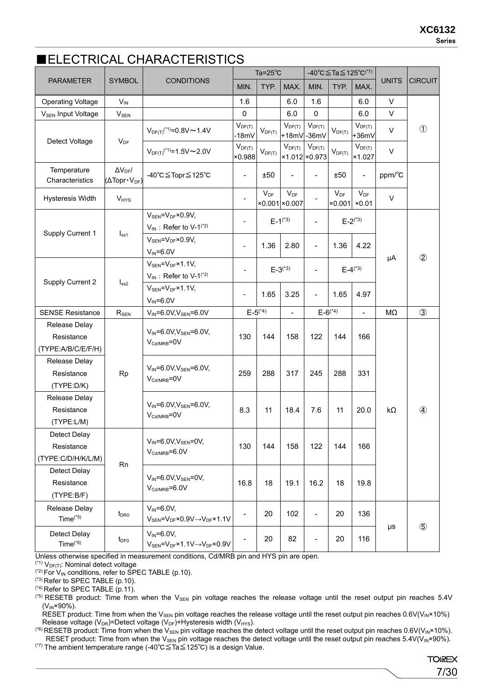#### ■ELECTRICAL CHARACTERISTICS

|                                                   |                                                                 |                                                                                                           |                          | Ta= $25^{\circ}$ C |                                   |                          | -40°C≦Ta≦125°C <sup>(*7)</sup> |                              |              |                |
|---------------------------------------------------|-----------------------------------------------------------------|-----------------------------------------------------------------------------------------------------------|--------------------------|--------------------|-----------------------------------|--------------------------|--------------------------------|------------------------------|--------------|----------------|
| <b>PARAMETER</b>                                  | <b>SYMBOL</b>                                                   | <b>CONDITIONS</b>                                                                                         | MIN.                     | TYP.               | MAX.                              | MIN.                     | TYP.                           | MAX.                         | <b>UNITS</b> | <b>CIRCUIT</b> |
| <b>Operating Voltage</b>                          | $V_{IN}$                                                        |                                                                                                           | 1.6                      |                    | 6.0                               | 1.6                      |                                | 6.0                          | V            |                |
| V <sub>SEN</sub> Input Voltage                    | $V_{SEN}$                                                       |                                                                                                           | $\mathbf 0$              |                    | 6.0                               | $\Omega$                 |                                | 6.0                          | V            |                |
| Detect Voltage                                    | $V_{DF}$                                                        | $V_{DF(T)}$ <sup>(*1)</sup> =0.8V ~ 1.4V                                                                  | $V_{DF(T)}$<br>-18mV     | $V_{DF(T)}$        | $V_{DF(T)}$<br>+18mV -36mV        | $V_{DF(T)}$              | $V_{DF(T)}$                    | $V_{DF(T)}$<br>$+36mV$       | $\vee$       | $\circled{1}$  |
|                                                   |                                                                 | $V_{DF(T)}$ <sup>(*1)</sup> =1.5V ~ 2.0V                                                                  | $V_{DF(T)}$<br>×0.988    | $V_{DF(T)}$        | $V_{DF(T)}$<br>×1.012 × 0.973     | $V_{DF(T)}$              | $V_{DF(T)}$                    | $V_{DF(T)}$<br>×1.027        | $\vee$       |                |
| Temperature<br>Characteristics                    | $\Delta V_{DF}$ /<br>$(\Delta \text{Topr} \cdot V_{\text{DF}})$ | -40°C≦Topr≦125°C                                                                                          | $\overline{\phantom{a}}$ | ±50                |                                   | $\overline{\phantom{a}}$ | ±50                            | $\qquad \qquad \blacksquare$ | ppm/°C       |                |
| <b>Hysteresis Width</b>                           | V <sub>HYS</sub>                                                |                                                                                                           |                          | $V_{DF}$           | $V_{DF}$<br>$×0.001 \times 0.007$ |                          | $V_{DF}$                       | $V_{DF}$<br>$×0.001$ $×0.01$ | $\vee$       |                |
|                                                   |                                                                 | $V_{\text{SEN}} = V_{\text{DF}} \times 0.9 V$ ,<br>$V_{IN}$ : Refer to V-1 <sup>(*2)</sup>                | $\overline{\phantom{a}}$ |                    | $E-1^{(*3)}$                      |                          |                                | $E - 2^{(*3)}$               |              |                |
| Supply Current 1                                  | I <sub>ss1</sub>                                                | $V_{\text{SEN}} = V_{\text{DF}} \times 0.9 V$ ,<br>$V_{IN} = 6.0V$                                        | $\overline{\phantom{a}}$ | 1.36               | 2.80                              | $\overline{\phantom{a}}$ | 1.36                           | 4.22                         |              |                |
|                                                   |                                                                 | $V_{SEN} = V_{DF} \times 1.1 V$ ,<br>$V_{IN}$ : Refer to V-1 <sup>(*2)</sup>                              | $\overline{\phantom{a}}$ |                    | $E - 3^{(*)}$                     |                          | $E-4^{(*)}$                    |                              | μA           | $^{\circledR}$ |
| Supply Current 2                                  | I <sub>ss2</sub>                                                | $V_{SEN} = V_{DF} \times 1.1 V$ ,<br>$V_{IN} = 6.0V$                                                      | $\blacksquare$           | 1.65               | 3.25                              | $\overline{\phantom{a}}$ | 1.65                           | 4.97                         |              |                |
| <b>SENSE Resistance</b>                           | $R_{SEN}$                                                       | $V_{IN} = 6.0 V, V_{SEN} = 6.0 V$                                                                         |                          | $E - 5^{(*)}$      |                                   |                          | $E - 6^{(*4)}$                 | $\frac{1}{2}$                | MΩ           | $\circled{3}$  |
| Release Delay<br>Resistance<br>(TYPE:A/B/C/E/F/H) |                                                                 | $V_{IN} = 6.0 V, V_{SEN} = 6.0 V,$<br>$V_{\text{Cd/MRB}} = 0V$                                            | 130                      | 144                | 158                               | 122                      | 144                            | 166                          |              |                |
| Release Delay<br>Resistance<br>(TYPE:D/K)         | Rp                                                              | $V_{IN} = 6.0 V, V_{SEN} = 6.0 V,$<br>$V_{\text{Cd/MRB}} = 0V$                                            | 259                      | 288                | 317                               | 245                      | 288                            | 331                          |              |                |
| Release Delay<br>Resistance<br>(TYPE:L/M)         |                                                                 | $V_{IN} = 6.0 V, V_{SEN} = 6.0 V,$<br>$V_{\text{Cd/MRB}} = 0V$                                            | 8.3                      | 11                 | 18.4                              | 7.6                      | 11                             | 20.0                         | kΩ           | $\circled{4}$  |
| Detect Delay<br>Resistance<br>(TYPE:C/D/H/K/L/M)  | Rn                                                              | $V_{IN} = 6.0 V, V_{SEN} = 0 V,$<br>$V_{\text{Cd/MRB}} = 6.0V$                                            | 130                      | 144                | 158                               | 122                      | 144                            | 166                          |              |                |
| Detect Delay<br>Resistance<br>(TYPE:B/F)          |                                                                 | $V_{IN} = 6.0 V, V_{SEN} = 0 V,$<br>$V_{\text{Cd/MRB}} = 6.0V$                                            | 16.8                     | 18                 | 19.1                              | 16.2                     | 18                             | 19.8                         |              |                |
| Release Delay<br>Time $(5)$                       | $t_{\text{DRO}}$                                                | $V_{IN} = 6.0V$ ,<br>$V_{\text{SEN}} = V_{\text{DF}} \times 0.9 V \rightarrow V_{\text{DF}} \times 1.1 V$ | $\overline{\phantom{a}}$ | 20                 | 102                               | $\overline{\phantom{0}}$ | 20                             | 136                          |              |                |
| Detect Delay<br>$Time(*6)$                        | $t_{\text{DF0}}$                                                | $V_{IN} = 6.0V$ ,<br>$V_{\text{SEN}} = V_{\text{DF}} \times 1.1 V \rightarrow V_{\text{DF}} \times 0.9 V$ |                          | 20                 | 82                                | $\overline{\phantom{a}}$ | 20                             | 116                          | $\mu s$      | $\circledS$    |

Unless otherwise specified in measurement conditions, Cd/MRB pin and HYS pin are open.

 $(1)$  V<sub>DF(T)</sub>: Nominal detect voltage

 $(2)$  For  $V_{IN}$  conditions, refer to SPEC TABLE (p.10).

 $(3)$  Refer to SPEC TABLE (p.10).

 $(4)$  Refer to SPEC TABLE (p.11).

(\*5) RESETB product: Time from when the V<sub>SEN</sub> pin voltage reaches the release voltage until the reset output pin reaches 5.4V  $(V_{IN} \times 90\%)$ .

RESET product: Time from when the V<sub>SEN</sub> pin voltage reaches the release voltage until the reset output pin reaches  $0.6V(V_{IN} \times 10\%)$ Release voltage ( $V_{DR}$ )=Detect voltage ( $V_{DF}$ )+Hysteresis width ( $V_{HYS}$ ).

(\*6) RESETB product: Time from when the  $V_{SEN}$  pin voltage reaches the detect voltage until the reset output pin reaches 0.6V(V<sub>IN</sub>×10%). RESET product: Time from when the V<sub>SEN</sub> pin voltage reaches the detect voltage until the reset output pin reaches 5.4V(V<sub>IN</sub>×90%).

(\*7) The ambient temperature range (-40℃≦Ta≦125℃) is a design Value.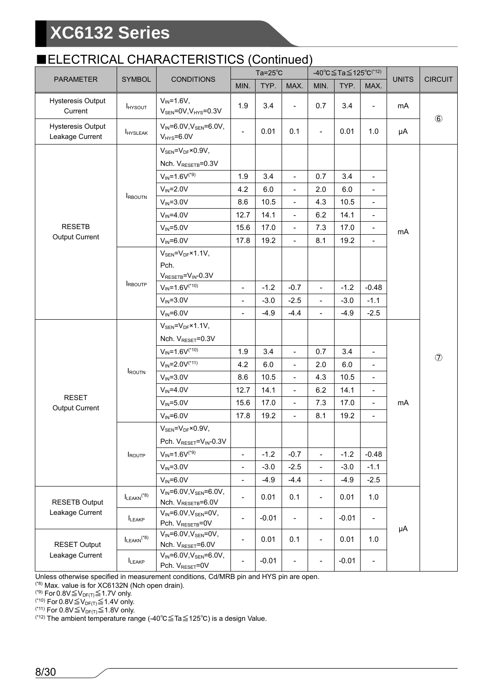#### ■ELECTRICAL CHARACTERISTICS (Continued)

|                                             |                                    | , , , , , , , , , <u>,</u><br>.                                                   |                          | ----------<br>Ta= $25^{\circ}$ C |                          |                              | -40 °C $\leq$ Ta $\leq$ 125 °C <sup>(*12)</sup> |                          |              | <b>CIRCUIT</b> |  |
|---------------------------------------------|------------------------------------|-----------------------------------------------------------------------------------|--------------------------|----------------------------------|--------------------------|------------------------------|-------------------------------------------------|--------------------------|--------------|----------------|--|
| <b>PARAMETER</b>                            | <b>SYMBOL</b>                      | <b>CONDITIONS</b>                                                                 | MIN.                     | TYP.                             | MAX.                     | MIN.                         | TYP.                                            | MAX.                     | <b>UNITS</b> |                |  |
| Hysteresis Output<br>Current                | <b>I</b> HYSOUT                    | $V_{IN} = 1.6V,$<br>$V_{\text{SEN}} = 0V, V_{\text{HYS}} = 0.3V$                  | 1.9                      | 3.4                              | $\overline{\phantom{a}}$ | 0.7                          | 3.4                                             | $\overline{\phantom{a}}$ | mA           | $\circledast$  |  |
| <b>Hysteresis Output</b><br>Leakage Current | <b>I</b> HYSLEAK                   | $V_{IN} = 6.0 V, V_{SEN} = 6.0 V,$<br>$V_{HYS}=6.0V$                              | $\blacksquare$           | 0.01                             | 0.1                      | $\blacksquare$               | 0.01                                            | 1.0                      | μA           |                |  |
|                                             |                                    | $V_{\text{SEN}} = V_{\text{DF}} \times 0.9 V$ ,<br>Nch. V <sub>RESETB</sub> =0.3V |                          |                                  |                          |                              |                                                 |                          |              |                |  |
|                                             |                                    | $V_{IN} = 1.6V^{(*)}$                                                             | 1.9                      | 3.4                              | $\overline{a}$           | 0.7                          | 3.4                                             | $\overline{a}$           |              |                |  |
|                                             | <b>IRBOUTN</b>                     | $V_{IN} = 2.0V$                                                                   | 4.2                      | 6.0                              | $\overline{\phantom{a}}$ | 2.0                          | 6.0                                             |                          |              |                |  |
|                                             |                                    | $V_{IN} = 3.0V$                                                                   | 8.6                      | 10.5                             | $\overline{\phantom{a}}$ | 4.3                          | 10.5                                            |                          |              |                |  |
|                                             |                                    | $V_{IN} = 4.0V$                                                                   | 12.7                     | 14.1                             | $\overline{\phantom{a}}$ | 6.2                          | 14.1                                            | $\overline{\phantom{0}}$ |              |                |  |
| <b>RESETB</b>                               |                                    | $V_{IN} = 5.0V$                                                                   | 15.6                     | 17.0                             | $\overline{\phantom{0}}$ | 7.3                          | 17.0                                            | $\overline{\phantom{0}}$ | mA           |                |  |
| Output Current                              |                                    | $V_{IN} = 6.0V$                                                                   | 17.8                     | 19.2                             | $\blacksquare$           | 8.1                          | 19.2                                            | $\overline{\phantom{0}}$ |              |                |  |
|                                             |                                    | $V_{SEN} = V_{DF} \times 1.1 V$ ,<br>Pch.<br>$V_{RESETB} = V_{IN} - 0.3V$         |                          |                                  |                          |                              |                                                 |                          |              |                |  |
|                                             | <b>IRBOUTP</b>                     | $V_{IN} = 1.6V^{(*10)}$                                                           | $\overline{\phantom{a}}$ | $-1.2$                           | $-0.7$                   | $\overline{\phantom{a}}$     | $-1.2$                                          | $-0.48$                  |              |                |  |
|                                             |                                    | $V_{IN} = 3.0V$                                                                   | $\overline{\phantom{a}}$ | $-3.0$                           | $-2.5$                   | $\Box$                       | $-3.0$                                          | $-1.1$                   |              |                |  |
|                                             |                                    | $V_{IN} = 6.0V$                                                                   | $\overline{\phantom{a}}$ | $-4.9$                           | $-4.4$                   | $\frac{1}{2}$                | $-4.9$                                          | $-2.5$                   |              |                |  |
|                                             |                                    | $V_{SEN} = V_{DF} \times 1.1 V$ ,<br>Nch. V <sub>RESET</sub> =0.3V                |                          |                                  |                          |                              |                                                 |                          |              |                |  |
|                                             |                                    | $V_{IN} = 1.6V^{(*10)}$                                                           | 1.9                      | 3.4                              | $\blacksquare$           | 0.7                          | 3.4                                             | $\overline{\phantom{0}}$ |              |                |  |
|                                             |                                    | $V_{IN} = 2.0V^{(*11)}$                                                           | 4.2                      | 6.0                              | $\overline{\phantom{a}}$ | 2.0                          | 6.0                                             | $\overline{\phantom{0}}$ |              | $\circledcirc$ |  |
|                                             | <b>IROUTN</b>                      | $V_{IN} = 3.0V$                                                                   | 8.6                      | 10.5                             | $\overline{\phantom{a}}$ | 4.3                          | 10.5                                            | $\overline{\phantom{0}}$ |              |                |  |
|                                             |                                    | $V_{IN} = 4.0V$                                                                   | 12.7                     | 14.1                             | $\blacksquare$           | 6.2                          | 14.1                                            | $\overline{\phantom{0}}$ |              |                |  |
| <b>RESET</b>                                |                                    | $V_{IN} = 5.0V$                                                                   | 15.6                     | 17.0                             | $\overline{\phantom{a}}$ | 7.3                          | 17.0                                            | $\overline{\phantom{0}}$ | mA           |                |  |
| Output Current                              |                                    | $V_{IN} = 6.0V$                                                                   | 17.8                     | 19.2                             | $\blacksquare$           | 8.1                          | 19.2                                            | $\overline{\phantom{0}}$ |              |                |  |
|                                             |                                    | $V_{SEN} = V_{DF} \times 0.9V$ ,                                                  |                          |                                  |                          |                              |                                                 |                          |              |                |  |
|                                             |                                    | Pch. VRESET=VIN-0.3V                                                              |                          |                                  |                          |                              |                                                 |                          |              |                |  |
|                                             | <b>IROUTP</b>                      | $V_{IN} = 1.6V^{(*9)}$                                                            | $\overline{\phantom{a}}$ | $-1.2$                           | $-0.7$                   | $\blacksquare$               | $-1.2$                                          | $-0.48$                  |              |                |  |
|                                             |                                    | $V_{IN} = 3.0V$                                                                   | $\overline{\phantom{a}}$ | $-3.0$                           | $-2.5$                   | $\blacksquare$               | $-3.0$                                          | $-1.1$                   |              |                |  |
|                                             |                                    | $V_{IN} = 6.0V$                                                                   | $\overline{\phantom{a}}$ | $-4.9$                           | $-4.4$                   | $\blacksquare$               | $-4.9$                                          | $-2.5$                   |              |                |  |
| <b>RESETB Output</b>                        | $I_{LEAKN}^{\phantom{A}}{}^{(*8)}$ | $V_{IN} = 6.0 V, V_{SEN} = 6.0 V,$<br>Nch. V <sub>RESETB</sub> =6.0V              | $\overline{\phantom{0}}$ | 0.01                             | 0.1                      | $\qquad \qquad \blacksquare$ | 0.01                                            | 1.0                      |              |                |  |
| Leakage Current                             | LEAKP                              | $V_{IN} = 6.0 V, V_{SEN} = 0 V,$<br>Pch. V <sub>RESETB</sub> =0V                  | $\overline{\phantom{a}}$ | $-0.01$                          | $\overline{\phantom{a}}$ | $\qquad \qquad \blacksquare$ | $-0.01$                                         | $\overline{\phantom{a}}$ | μA           |                |  |
| <b>RESET Output</b>                         | $I_{LEAKN}$ <sup>(*8)</sup>        | $V_{IN} = 6.0 V, V_{SEN} = 0 V,$<br>Nch. VRESET=6.0V                              | $\overline{\phantom{a}}$ | 0.01                             | 0.1                      | $\blacksquare$               | 0.01                                            | 1.0                      |              |                |  |
| Leakage Current                             | LEAKP                              | $V_{IN} = 6.0 V, V_{SEN} = 6.0 V,$<br>Pch. V <sub>RESET</sub> =0V                 |                          | $-0.01$                          |                          | $\overline{a}$               | $-0.01$                                         | $\overline{\phantom{0}}$ |              |                |  |

Unless otherwise specified in measurement conditions, Cd/MRB pin and HYS pin are open.

(\*8) Max. value is for XC6132N (Nch open drain).

(\*9) For  $0.8V \leq V_{\text{DF(T)}} \leq 1.7V$  only.

<sup>(\*10)</sup> For 0.8V $\leq$ V<sub>DF(T)</sub> $\leq$  1.4V only.

<sup>(\*11)</sup> For 0.8V $\leq$ V<sub>DF(T)</sub> $\leq$ 1.8V only.

(\*12) The ambient temperature range (-40℃≦Ta≦125℃) is a design Value.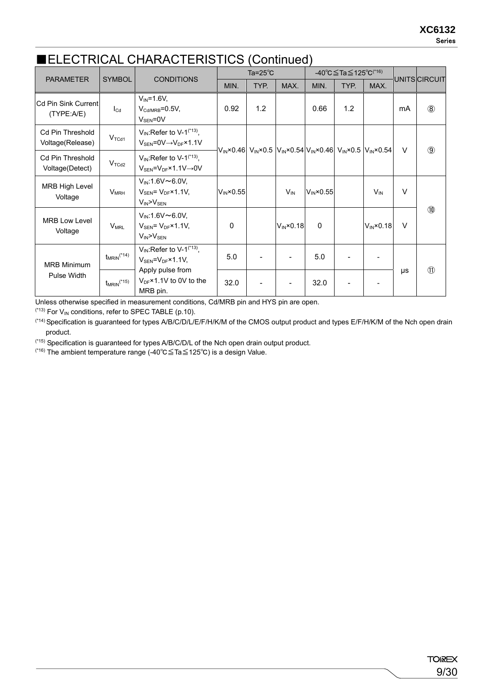### ■ELECTRICAL CHARACTERISTICS (Continued)

| <b>PARAMETER</b>                                                                  | <b>SYMBOL</b>               | <b>CONDITIONS</b>                                                                                                        |                | Ta= $25^{\circ}$ C |                                                                                                                                   |                | $-40^{\circ}$ C $\leq$ Ta $\leq$ 125 $^{\circ}$ C $^{(46)}$ |                      |               | UNITS CIRCUIT  |  |  |
|-----------------------------------------------------------------------------------|-----------------------------|--------------------------------------------------------------------------------------------------------------------------|----------------|--------------------|-----------------------------------------------------------------------------------------------------------------------------------|----------------|-------------------------------------------------------------|----------------------|---------------|----------------|--|--|
|                                                                                   |                             |                                                                                                                          | MIN.           | TYP.               | MAX.                                                                                                                              | MIN.           | TYP.                                                        | MAX.                 |               |                |  |  |
| <b>Cd Pin Sink Current</b><br>(TYPE:A/E)                                          | $I_{\text{Cd}}$             | $V_{IN} = 1.6V,$<br>$V_{\text{Cd/MRR}} = 0.5V$ ,<br>$V_{\rm SEN}$ =0V                                                    | 0.92           | 1.2                |                                                                                                                                   | 0.66           | 1.2                                                         |                      | mA            | $\circledR$    |  |  |
| <b>Cd Pin Threshold</b><br>Voltage(Release)                                       | V <sub>TCd1</sub>           | $V_{\text{IN}}$ : Refer to V-1 <sup>(*13)</sup> ,<br>$V_{\text{SEN}} = 0 \vee \rightarrow V_{\text{DF}} \times 1.1 \vee$ |                |                    | $V_{\text{IN}}$ ×0.46 $V_{\text{IN}}$ ×0.5 $V_{\text{IN}}$ ×0.54 $V_{\text{IN}}$ ×0.46 $V_{\text{IN}}$ ×0.5 $V_{\text{IN}}$ ×0.54 |                |                                                             |                      | $\vee$        | $\circled{9}$  |  |  |
| <b>Cd Pin Threshold</b><br>Voltage(Detect)                                        | V <sub>TCd2</sub>           | $V_{\text{IN}}$ : Refer to V-1 <sup>(*13)</sup> ,<br>$V_{SEN} = V_{DF} \times 1.1 V \rightarrow 0 V$                     |                |                    |                                                                                                                                   |                |                                                             |                      |               |                |  |  |
| MRB High Level<br>Voltage                                                         | V <sub>MRH</sub>            | $V_{IN}$ :1.6V $\sim$ 6.0V,<br>$V_{\text{SEN}} = V_{\text{DF}} \times 1.1 V$ ,<br>$V_{IN} > V_{SEN}$                     | $V_{IN}$ ×0.55 |                    | $V_{\text{IN}}$                                                                                                                   | $V_{IN}$ ×0.55 |                                                             | $V_{\text{IN}}$      | $\vee$        |                |  |  |
| <b>MRB Low Level</b><br>Voltage                                                   | $V_{MRL}$                   | $V_{IN}$ 1.6V $\sim$ 6.0V,<br>$V_{\text{SEN}} = V_{\text{DF}} \times 1.1 V$<br>$V_{IN} > V_{SEN}$                        | 0              |                    | $V_{IN} \times 0.18$                                                                                                              | $\mathbf{0}$   |                                                             | $V_{IN} \times 0.18$ | $\vee$        | $\circledcirc$ |  |  |
| <b>MRB Minimum</b>                                                                | $t_{MRIN}$ <sup>(*14)</sup> | $V_{IN}$ : Refer to V-1 <sup>(*13)</sup> ,<br>$V_{\rm SEN} = V_{\rm DF} \times 1.1 V$ ,                                  | 5.0            |                    |                                                                                                                                   | 5.0            |                                                             |                      |               |                |  |  |
| Apply pulse from<br><b>Pulse Width</b><br>$t_{MRIN}$ <sup>(*15)</sup><br>MRB pin. | $V_{DF}$ ×1.1V to 0V to the | 32.0                                                                                                                     |                |                    | 32.0                                                                                                                              |                |                                                             | μs                   | $\circled{1}$ |                |  |  |

Unless otherwise specified in measurement conditions, Cd/MRB pin and HYS pin are open.

 $(13)$  For  $V_{IN}$  conditions, refer to SPEC TABLE (p.10).

<sup>(\*14)</sup> Specification is guaranteed for types A/B/C/D/L/E/F/H/K/M of the CMOS output product and types E/F/H/K/M of the Nch open drain product.

(\*15) Specification is guaranteed for types A/B/C/D/L of the Nch open drain output product.

(\*16) The ambient temperature range (-40℃≦Ta≦125℃) is a design Value.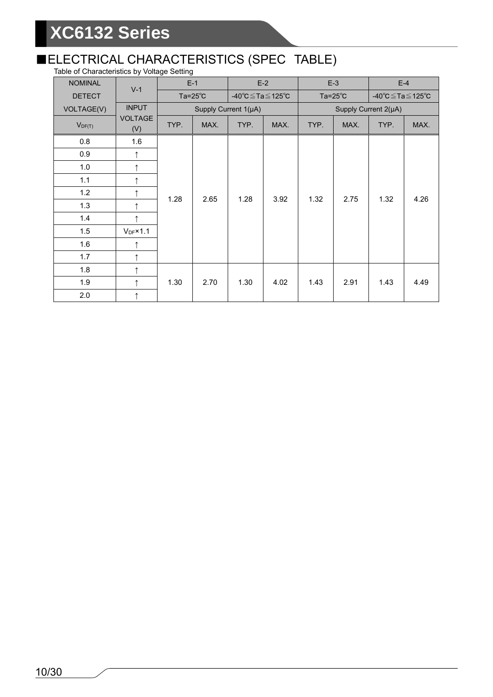### ■ELECTRICAL CHARACTERISTICS (SPEC TABLE)

Table of Characteristics by Voltage Setting

| <b>NOMINAL</b> | $V-1$                 |      | $E-1$                              |                      | $E-2$              |              | $E-3$        |                      | $E-4$ |  |
|----------------|-----------------------|------|------------------------------------|----------------------|--------------------|--------------|--------------|----------------------|-------|--|
| <b>DETECT</b>  |                       |      | Ta= $25^{\circ}$ C<br>-40℃≦Ta≦125℃ |                      | Ta= $25^{\circ}$ C |              | -40℃≦Ta≦125℃ |                      |       |  |
| VOLTAGE(V)     | <b>INPUT</b>          |      |                                    | Supply Current 1(µA) |                    |              |              | Supply Current 2(µA) |       |  |
| $V_{DF(T)}$    | <b>VOLTAGE</b><br>(V) | TYP. | MAX.                               | TYP.                 | MAX.               | TYP.         | MAX.         | TYP.                 | MAX.  |  |
| 0.8            | 1.6                   |      |                                    |                      |                    |              |              |                      |       |  |
| 0.9            | ↑                     |      |                                    |                      |                    |              |              |                      |       |  |
| 1.0            | ↑                     |      |                                    |                      |                    |              |              |                      |       |  |
| 1.1            | ↑                     |      |                                    |                      |                    |              |              |                      |       |  |
| 1.2            | $\uparrow$            | 1.28 | 2.65                               | 1.28                 |                    | 3.92<br>1.32 | 2.75         | 1.32                 | 4.26  |  |
| 1.3            | $\uparrow$            |      |                                    |                      |                    |              |              |                      |       |  |
| 1.4            | ↑                     |      |                                    |                      |                    |              |              |                      |       |  |
| 1.5            | $V_{DF}$ ×1.1         |      |                                    |                      |                    |              |              |                      |       |  |
| 1.6            | ↑                     |      |                                    |                      |                    |              |              |                      |       |  |
| 1.7            | $\uparrow$            |      |                                    |                      |                    |              |              |                      |       |  |
| 1.8            | $\uparrow$            |      |                                    |                      |                    |              |              |                      |       |  |
| 1.9            | $\uparrow$            | 1.30 | 2.70                               | 1.30                 | 4.02               | 1.43         | 2.91         | 1.43                 | 4.49  |  |
| 2.0            | $\uparrow$            |      |                                    |                      |                    |              |              |                      |       |  |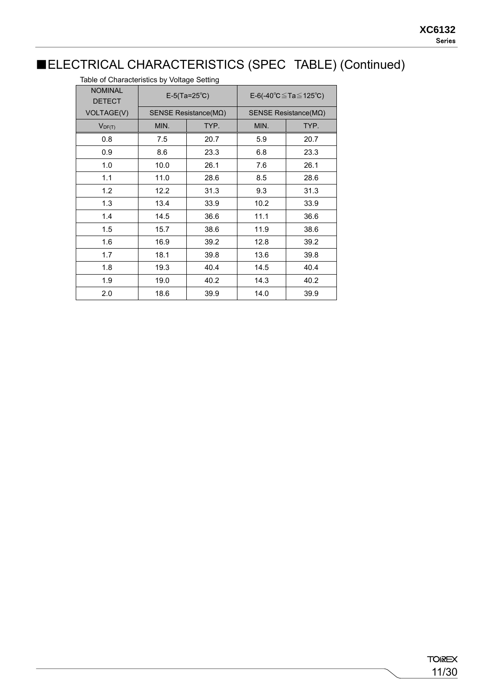### ■ELECTRICAL CHARACTERISTICS (SPEC TABLE) (Continued)

| Table of Critical acteristics by voltage Setting |      |                               |      |                                |  |  |
|--------------------------------------------------|------|-------------------------------|------|--------------------------------|--|--|
| <b>NOMINAL</b><br><b>DETECT</b>                  |      | $E-5(Ta=25^{\circ}C)$         |      | E-6(-40 °C ≤ Ta ≤ 125 °C)      |  |  |
| VOLTAGE(V)                                       |      | SENSE Resistance( $M\Omega$ ) |      | SENSE Resistance ( $M\Omega$ ) |  |  |
| $V_{DF(T)}$                                      | MIN. | TYP.                          | MIN. | TYP.                           |  |  |
| 0.8                                              | 7.5  | 20.7                          | 5.9  | 20.7                           |  |  |
| 0.9                                              | 8.6  | 23.3                          | 6.8  | 23.3                           |  |  |
| 1.0                                              | 10.0 | 26.1                          | 7.6  | 26.1                           |  |  |
| 1.1                                              | 11.0 | 28.6                          | 8.5  | 28.6                           |  |  |
| 1.2                                              | 12.2 | 31.3                          | 9.3  | 31.3                           |  |  |
| 1.3                                              | 13.4 | 33.9                          | 10.2 | 33.9                           |  |  |
| 1.4                                              | 14.5 | 36.6                          | 11.1 | 36.6                           |  |  |
| 1.5                                              | 15.7 | 38.6                          | 11.9 | 38.6                           |  |  |
| 1.6                                              | 16.9 | 39.2                          | 12.8 | 39.2                           |  |  |
| 1.7                                              | 18.1 | 39.8                          | 13.6 | 39.8                           |  |  |
| 1.8                                              | 19.3 | 40.4                          | 14.5 | 40.4                           |  |  |
| 1.9                                              | 19.0 | 40.2                          | 14.3 | 40.2                           |  |  |
| 2.0                                              | 18.6 | 39.9                          | 14.0 | 39.9                           |  |  |

Table of Characteristics by Voltage Setting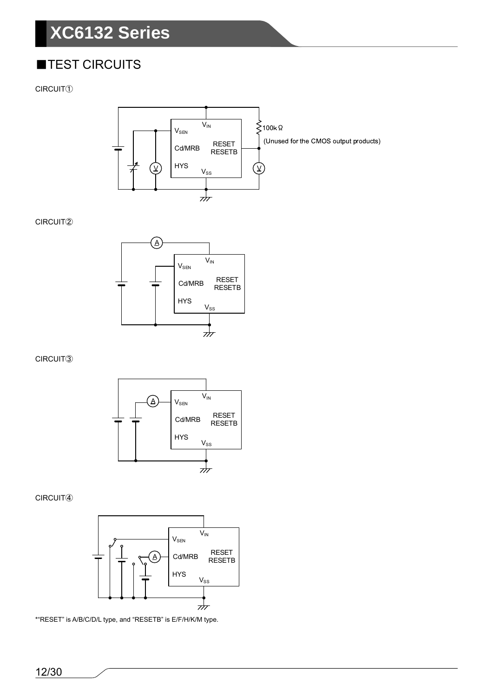### ■TEST CIRCUITS

CIRCUIT①



#### CIRCUIT②



#### CIRCUIT③



#### CIRCUIT④



\*"RESET" is A/B/C/D/L type, and "RESETB" is E/F/H/K/M type.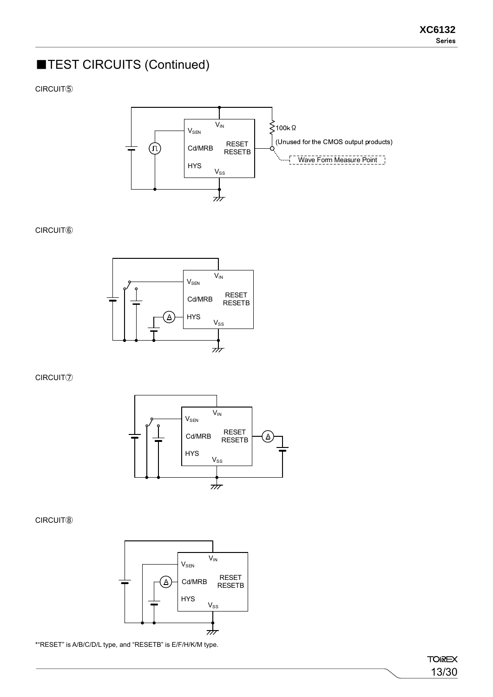### ■TEST CIRCUITS (Continued)

CIRCUIT⑤



#### CIRCUIT⑥



CIRCUIT⑦



CIRCUIT⑧



\*"RESET" is A/B/C/D/L type, and "RESETB" is E/F/H/K/M type.

**TOIREX** 13/30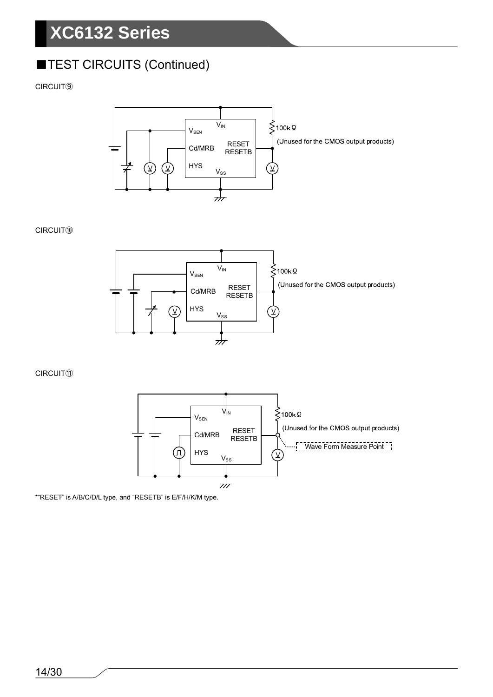### **TEST CIRCUITS (Continued)**

#### CIRCUIT⑨



#### CIRCUIT⑩



#### CIRCUIT⑪



\*"RESET" is A/B/C/D/L type, and "RESETB" is E/F/H/K/M type.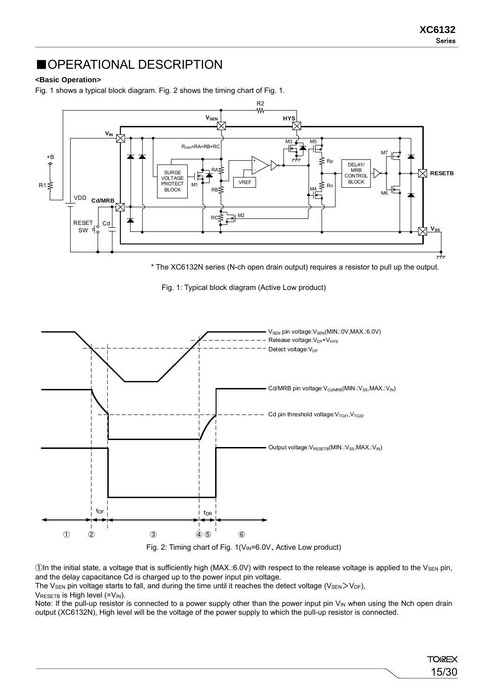15/30

**TOIREX** 

### ■OPERATIONAL DESCRIPTION

#### **<Basic Operation>**

Fig. 1 shows a typical block diagram. Fig. 2 shows the timing chart of Fig. 1.



\* The XC6132N series (N-ch open drain output) requires a resistor to pull up the output.

Fig. 1: Typical block diagram (Active Low product)



 $\Box$ In the initial state, a voltage that is sufficiently high (MAX.:6.0V) with respect to the release voltage is applied to the V<sub>SEN</sub> pin, and the delay capacitance Cd is charged up to the power input pin voltage.

The V<sub>SEN</sub> pin voltage starts to fall, and during the time until it reaches the detect voltage (V<sub>SEN</sub>>V<sub>DF</sub>),  $V_{RESETB}$  is High level (= $V_{IN}$ ).

Note: If the pull-up resistor is connected to a power supply other than the power input pin  $V_{\text{IN}}$  when using the Nch open drain output (XC6132N), High level will be the voltage of the power supply to which the pull-up resistor is connected.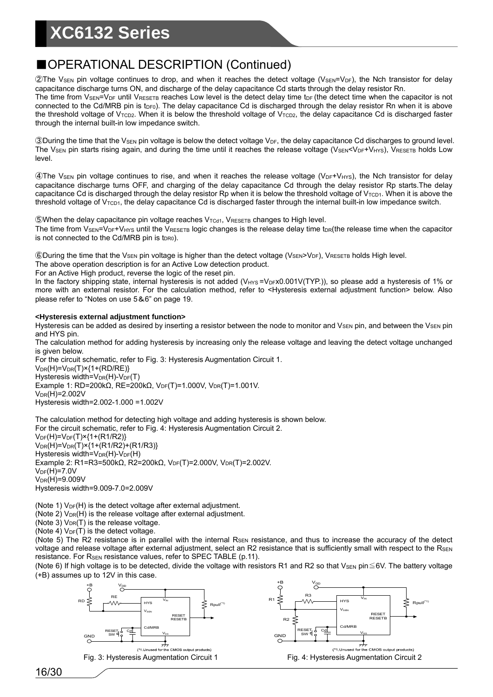### ■OPERATIONAL DESCRIPTION (Continued)

 $Q$ The V<sub>SEN</sub> pin voltage continues to drop, and when it reaches the detect voltage (V<sub>SEN</sub>=V<sub>DF</sub>), the Nch transistor for delay capacitance discharge turns ON, and discharge of the delay capacitance Cd starts through the delay resistor Rn.

The time from  $V_{\text{SEN}}=V_{\text{DF}}$  until  $V_{\text{RESETB}}$  reaches Low level is the detect delay time t<sub>DF</sub> (the detect time when the capacitor is not connected to the Cd/MRB pin is t<sub>DF0</sub>). The delay capacitance Cd is discharged through the delay resistor Rn when it is above the threshold voltage of  $V_{TCD2}$ . When it is below the threshold voltage of  $V_{TCD2}$ , the delay capacitance Cd is discharged faster through the internal built-in low impedance switch.

 $\circledR$ During the time that the V<sub>SEN</sub> pin voltage is below the detect voltage V<sub>DF</sub>, the delay capacitance Cd discharges to ground level. The V<sub>SEN</sub> pin starts rising again, and during the time until it reaches the release voltage (V<sub>SEN</sub><V<sub>DF</sub>+V<sub>HYS</sub>), VRESETB holds Low level.

④The VSEN pin voltage continues to rise, and when it reaches the release voltage (VDF+VHYS), the Nch transistor for delay capacitance discharge turns OFF, and charging of the delay capacitance Cd through the delay resistor Rp starts.The delay capacitance Cd is discharged through the delay resistor Rp when it is below the threshold voltage of V<sub>TCD1</sub>. When it is above the threshold voltage of  $V_{\text{TCD1}}$ , the delay capacitance Cd is discharged faster through the internal built-in low impedance switch.

**SWhen the delay capacitance pin voltage reaches VTCd1, VRESETB changes to High level.** The time from  $V_{\text{SEN}}=V_{\text{DF}}+V_{\text{HYS}}$  until the  $V_{\text{RESETB}}$  logic changes is the release delay time t<sub>DR</sub>(the release time when the capacitor is not connected to the Cd/MRB pin is t<sub>DR0</sub>).

⑥During the time that the VSEN pin voltage is higher than the detect voltage (VSEN>VDF), VRESETB holds High level.

The above operation description is for an Active Low detection product.

For an Active High product, reverse the logic of the reset pin.

In the factory shipping state, internal hysteresis is not added (V<sub>HYS</sub> =V<sub>DF</sub>x0.001V(TYP.)), so please add a hysteresis of 1% or more with an external resistor. For the calculation method, refer to <Hysteresis external adjustment function> below. Also please refer to "Notes on use 5&6" on page 19.

#### **<Hysteresis external adjustment function>**

Hysteresis can be added as desired by inserting a resistor between the node to monitor and  $V_{\rm SEN}$  pin, and between the  $V_{\rm SEN}$  pin and HYS pin.

The calculation method for adding hysteresis by increasing only the release voltage and leaving the detect voltage unchanged is given below.

For the circuit schematic, refer to Fig. 3: Hysteresis Augmentation Circuit 1.  $V_{DR}(H)=V_{DR}(T) \times \{1+(RD/RE)\}$  $H$ vsteresis width=V<sub>DR</sub>(H)-V<sub>DF</sub>(T) Example 1: RD=200kΩ, RE=200kΩ, V<sub>DF</sub>(T)=1.000V, V<sub>DR</sub>(T)=1.001V.  $V_{DR}(H)=2.002V$ Hysteresis width=2.002-1.000 =1.002V

The calculation method for detecting high voltage and adding hysteresis is shown below. For the circuit schematic, refer to Fig. 4: Hysteresis Augmentation Circuit 2.  $V_{DF}(H)=V_{DF}(T) \times \{1+(R1/R2)\}$  $V_{DR}(H)=V_{DR}(T) \times \{1+(R1/R2)+(R1/R3)\}$ Hysteresis width= $V_{DR}(H)-V_{DF}(H)$ Example 2: R1=R3=500kΩ, R2=200kΩ, V<sub>DF</sub>(T)=2.000V, V<sub>DR</sub>(T)=2.002V.  $V_{DF}(H)=7.0V$  $V_{DR}(H)=9.009V$ 

Hysteresis width=9.009-7.0=2.009V

(Note 1)  $V_{DF}(H)$  is the detect voltage after external adjustment.

 $(Note 2)$   $V_{DR}(H)$  is the release voltage after external adjustment.

(Note 3)  $V_{DR}(T)$  is the release voltage.

(Note 4)  $V_{DF}(T)$  is the detect voltage.

(Note 5) The R2 resistance is in parallel with the internal  $R_{\text{SEN}}$  resistance, and thus to increase the accuracy of the detect voltage and release voltage after external adjustment, select an R2 resistance that is sufficiently small with respect to the RSEN resistance. For R<sub>SEN</sub> resistance values, refer to SPEC TABLE (p.11).

(Note 6) If high voltage is to be detected, divide the voltage with resistors R1 and R2 so that V<sub>SEN</sub> pin $\leq$ 6V. The battery voltage (+B) assumes up to 12V in this case.



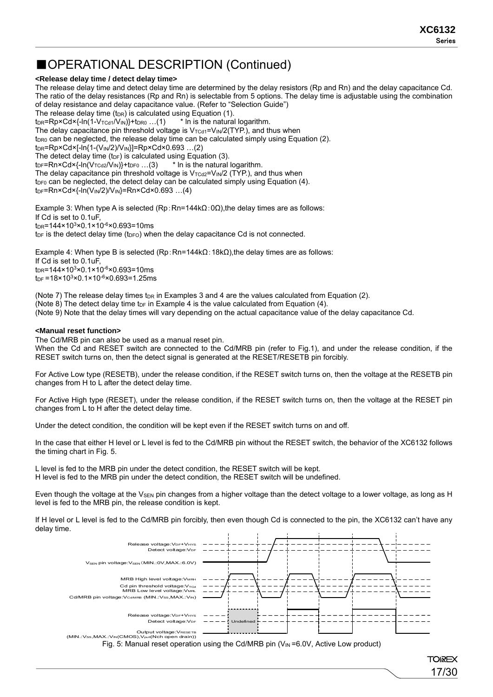17/30

**TOREX** 

### ■OPERATIONAL DESCRIPTION (Continued)

#### **<Release delay time / detect delay time>**

The release delay time and detect delay time are determined by the delay resistors (Rp and Rn) and the delay capacitance Cd. The ratio of the delay resistances (Rp and Rn) is selectable from 5 options. The delay time is adjustable using the combination of delay resistance and delay capacitance value. (Refer to "Selection Guide") The release delay time ( $t_{DR}$ ) is calculated using Equation (1).  $t_{DR}$ =Rp×Cd×{-ln(1-V<sub>TCd1</sub>/V<sub>IN</sub>)}+t<sub>DR0</sub> ...(1) \* In is the natural logarithm. The delay capacitance pin threshold voltage is  $V_{TCd1} = V_{IN}/2(TYP)$ , and thus when  $t_{DR0}$  can be neglected, the release delay time can be calculated simply using Equation (2).  $tpR = Rp \times Cd \times [-ln(1-(V_{IN}/2)/V_{IN})] = Rp \times Cd \times 0.693$  ...(2) The detect delay time (t<sub>DF</sub>) is calculated using Equation (3).  $t_{DF}$ =Rn×Cd×{-ln(V<sub>TCd2</sub>/V<sub>IN</sub>)}+ $t_{DF0}$  ...(3) \* In is the natural logarithm. The delay capacitance pin threshold voltage is  $V_{TCd2}=V_{IN}/2$  (TYP.), and thus when  $t_{\text{DF0}}$  can be neglected, the detect delay can be calculated simply using Equation (4).  $t_{DF}$ =Rn×Cd×{-ln(V<sub>IN</sub>/2)/V<sub>IN</sub>}=Rn×Cd×0.693 ...(4)

Example 3: When type A is selected  $(Rp:Rn=144k\Omega:O\Omega)$ , the delay times are as follows: If Cd is set to 0.1uF,  $tnR = 144 \times 10^{3} \times 0.1 \times 10^{-6} \times 0.693 = 10$  ms  $t_{DF}$  is the detect delay time ( $t_{DFO}$ ) when the delay capacitance Cd is not connected.

Example 4: When type B is selected (Rp: Rn=144kΩ: 18kΩ), the delay times are as follows: If Cd is set to 0.1uF,  $tnR = 144 \times 10^{3} \times 0.1 \times 10^{-6} \times 0.693 = 10$  ms  $t_{\text{DF}}$  =18×10<sup>3</sup>×0.1×10<sup>-6</sup>×0.693=1.25ms

(Note 7) The release delay times  $t_{DR}$  in Examples 3 and 4 are the values calculated from Equation (2). (Note 8) The detect delay time  $t_{DF}$  in Example 4 is the value calculated from Equation (4). (Note 9) Note that the delay times will vary depending on the actual capacitance value of the delay capacitance Cd.

#### **<Manual reset function>**

The Cd/MRB pin can also be used as a manual reset pin. When the Cd and RESET switch are connected to the Cd/MRB pin (refer to Fig.1), and under the release condition, if the RESET switch turns on, then the detect signal is generated at the RESET/RESETB pin forcibly.

For Active Low type (RESETB), under the release condition, if the RESET switch turns on, then the voltage at the RESETB pin changes from H to L after the detect delay time.

For Active High type (RESET), under the release condition, if the RESET switch turns on, then the voltage at the RESET pin changes from L to H after the detect delay time.

Under the detect condition, the condition will be kept even if the RESET switch turns on and off.

In the case that either H level or L level is fed to the Cd/MRB pin without the RESET switch, the behavior of the XC6132 follows the timing chart in Fig. 5.

L level is fed to the MRB pin under the detect condition, the RESET switch will be kept. H level is fed to the MRB pin under the detect condition, the RESET switch will be undefined.

Even though the voltage at the V<sub>SEN</sub> pin changes from a higher voltage than the detect voltage to a lower voltage, as long as H level is fed to the MRB pin, the release condition is kept.

If H level or L level is fed to the Cd/MRB pin forcibly, then even though Cd is connected to the pin, the XC6132 can't have any delay time.



Fig. 5: Manual reset operation using the Cd/MRB pin ( $V_{\text{IN}}$ =6.0V, Active Low product)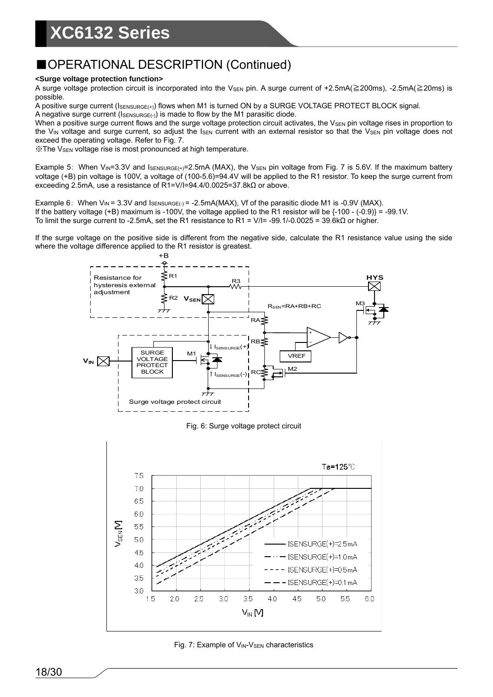### ■OPERATIONAL DESCRIPTION (Continued)

#### **<Surge voltage protection function>**

A surge voltage protection circuit is incorporated into the V<sub>SEN</sub> pin. A surge current of +2.5mA(≧200ms), -2.5mA(≧20ms) is possible.

A positive surge current ( $I_{\text{SENSURGE}(+)}$ ) flows when M1 is turned ON by a SURGE VOLTAGE PROTECT BLOCK signal.

A negative surge current ( $I_{\text{SENSURGE}(\cdot)}$ ) is made to flow by the M1 parasitic diode.

When a positive surge current flows and the surge voltage protection circuit activates, the  $V_{\text{SEN}}$  pin voltage rises in proportion to the V<sub>IN</sub> voltage and surge current, so adjust the  $I_{\text{SEN}}$  current with an external resistor so that the V<sub>SEN</sub> pin voltage does not exceed the operating voltage. Refer to Fig. 7.

**※The V<sub>SEN</sub> voltage rise is most pronounced at high temperature.** 

Example 5: When V<sub>IN</sub>=3.3V and  $I_{SENSURGE(+)}=2.5mA$  (MAX), the V<sub>SEN</sub> pin voltage from Fig. 7 is 5.6V. If the maximum battery voltage (+B) pin voltage is 100V, a voltage of (100-5.6)=94.4V will be applied to the R1 resistor. To keep the surge current from exceeding 2.5mA, use a resistance of R1=V/I=94.4/0.0025=37.8kΩ or above.

Example 6: When  $V_{IN} = 3.3V$  and  $I_{SENSURGE(-)} = -2.5mA(MAX)$ , Vf of the parasitic diode M1 is -0.9V (MAX). If the battery voltage (+B) maximum is -100V, the voltage applied to the R1 resistor will be {-100 - (-0.9)} = -99.1V. To limit the surge current to -2.5mA, set the R1 resistance to R1 = V/I= -99.1/-0.0025 = 39.6kΩ or higher.

If the surge voltage on the positive side is different from the negative side, calculate the R1 resistance value using the side where the voltage difference applied to the R1 resistor is greatest.



Fig. 6: Surge voltage protect circuit



Fig. 7: Example of V<sub>IN</sub>-V<sub>SEN</sub> characteristics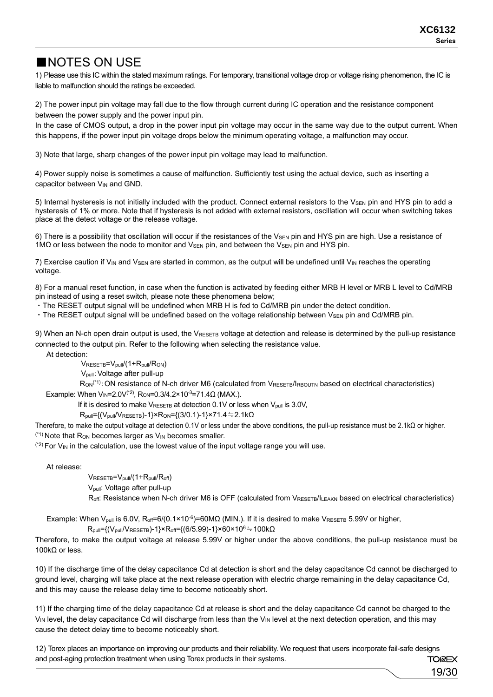19/30

### ■NOTES ON USE

1) Please use this IC within the stated maximum ratings. For temporary, transitional voltage drop or voltage rising phenomenon, the IC is liable to malfunction should the ratings be exceeded.

2) The power input pin voltage may fall due to the flow through current during IC operation and the resistance component between the power supply and the power input pin.

In the case of CMOS output, a drop in the power input pin voltage may occur in the same way due to the output current. When this happens, if the power input pin voltage drops below the minimum operating voltage, a malfunction may occur.

3) Note that large, sharp changes of the power input pin voltage may lead to malfunction.

4) Power supply noise is sometimes a cause of malfunction. Sufficiently test using the actual device, such as inserting a capacitor between V<sub>IN</sub> and GND.

5) Internal hysteresis is not initially included with the product. Connect external resistors to the V<sub>SEN</sub> pin and HYS pin to add a hysteresis of 1% or more. Note that if hysteresis is not added with external resistors, oscillation will occur when switching takes place at the detect voltage or the release voltage.

6) There is a possibility that oscillation will occur if the resistances of the V<sub>SEN</sub> pin and HYS pin are high. Use a resistance of 1MΩ or less between the node to monitor and V<sub>SEN</sub> pin, and between the V<sub>SEN</sub> pin and HYS pin.

7) Exercise caution if  $V_{IN}$  and  $V_{SEN}$  are started in common, as the output will be undefined until  $V_{IN}$  reaches the operating voltage.

8) For a manual reset function, in case when the function is activated by feeding either MRB H level or MRB L level to Cd/MRB pin instead of using a reset switch, please note these phenomena below;

・The RESET output signal will be undefined when MRB H is fed to Cd/MRB pin under the detect condition.

• The RESET output signal will be undefined based on the voltage relationship between V<sub>SEN</sub> pin and Cd/MRB pin.

9) When an N-ch open drain output is used, the VRESETB voltage at detection and release is determined by the pull-up resistance connected to the output pin. Refer to the following when selecting the resistance value.

At detection:

 $V_{RESETB} = V_{pull}/(1 + R_{pull}/R_{ON})$ Vpull:Voltage after pull-up

R<sub>ON</sub><sup>(\*1)</sup>: ON resistance of N-ch driver M6 (calculated from VRESETB/IRBOUTN based on electrical characteristics) Example: When V<sub>IN</sub>=2.0V<sup>(\*2)</sup>, R<sub>ON</sub>=0.3/4.2×10<sup>-3</sup>=71.4Ω (MAX.).

If it is desired to make  $V_{RESETB}$  at detection 0.1V or less when  $V_{null}$  is 3.0V,

 $R_{pull} = \{(V_{pull}/V_{RESETB})-1\} \times R_{ON} = \{(3/0.1)-1\} \times 71.4 = 2.1 \text{k}\Omega$ 

Therefore, to make the output voltage at detection 0.1V or less under the above conditions, the pull-up resistance must be 2.1kΩ or higher.  $(1)$  Note that R<sub>ON</sub> becomes larger as  $V_{\text{IN}}$  becomes smaller.

 $(2)$  For V<sub>IN</sub> in the calculation, use the lowest value of the input voltage range you will use.

At release:

VRESETB=V<sub>pull</sub>/(1+R<sub>pull</sub>/R<sub>off</sub>) Vpull: Voltage after pull-up

Roff: Resistance when N-ch driver M6 is OFF (calculated from VRESETB/ILEAKN based on electrical characteristics)

Example: When V<sub>pull</sub> is 6.0V, R<sub>off</sub>=6/(0.1×10<sup>-6</sup>)=60MΩ (MIN.). If it is desired to make VRESETB 5.99V or higher,

$$
R_{\text{pull}} = \left\{ (V_{\text{pull}}/V_{\text{RESETB}}) - 1 \right\} \times R_{\text{off}} = \left\{ (6/5.99) - 1 \right\} \times 60 \times 10^6 = 100 \text{k}\Omega
$$

Therefore, to make the output voltage at release 5.99V or higher under the above conditions, the pull-up resistance must be 100kΩ or less.

10) If the discharge time of the delay capacitance Cd at detection is short and the delay capacitance Cd cannot be discharged to ground level, charging will take place at the next release operation with electric charge remaining in the delay capacitance Cd, and this may cause the release delay time to become noticeably short.

11) If the charging time of the delay capacitance Cd at release is short and the delay capacitance Cd cannot be charged to the VIN level, the delay capacitance Cd will discharge from less than the VIN level at the next detection operation, and this may cause the detect delay time to become noticeably short.

12) Torex places an importance on improving our products and their reliability. We request that users incorporate fail-safe designs and post-aging protection treatment when using Torex products in their systems. **TOIREX**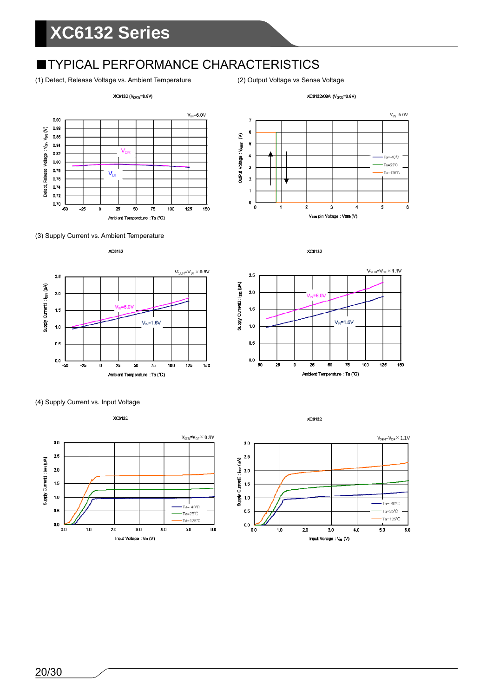### **TYPICAL PERFORMANCE CHARACTERISTICS**

(1) Detect, Release Voltage vs. Ambient Temperature (2) Output Voltage vs Sense Voltage







 $V_{\text{IN}}$ -6.0V

Vsev pin Voltage : VSEN(V)













XC6132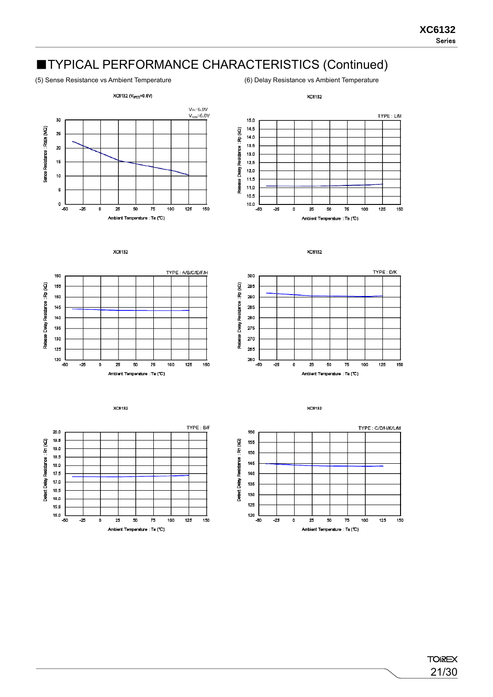### ■TYPICAL PERFORMANCE CHARACTERISTICS (Continued)

(5) Sense Resistance vs Ambient Temperature (6) Delay Resistance vs Ambient Temperature













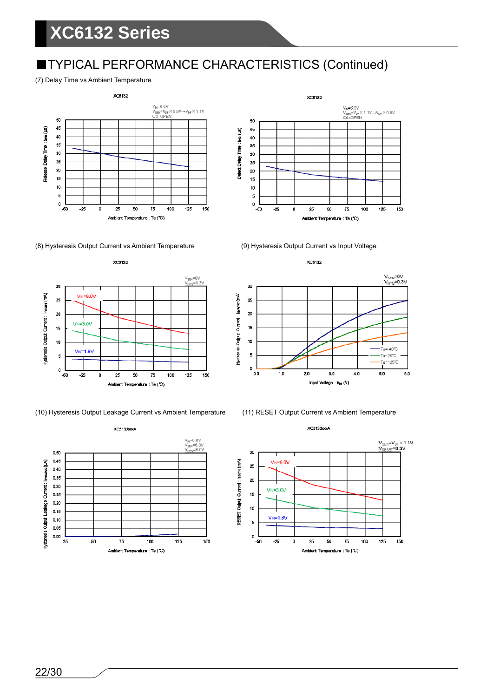## ■TYPICAL PERFORMANCE CHARACTERISTICS (Continued)

#### (7) Delay Time vs Ambient Temperature







(10) Hysteresis Output Leakage Current vs Ambient Temperature (11) RESET Output Current vs Ambient Temperature







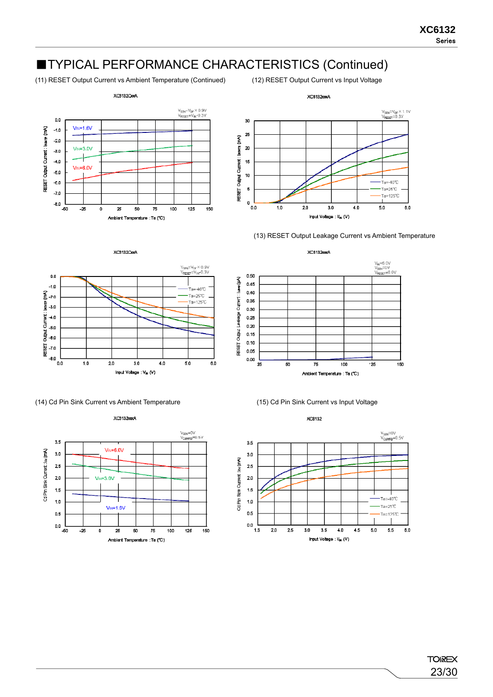### ■TYPICAL PERFORMANCE CHARACTERISTICS (Continued)

(11) RESET Output Current vs Ambient Temperature (Continued) (12) RESET Output Current vs Input Voltage





(13) RESET Output Leakage Current vs Ambient Temperature

V<sub>N</sub>=6.0V<br>V<sub>SBN</sub>=0V<br>V<sub>RESET</sub>=6.0V



XC3132CooA







**Lews(LP)**  $0.45$ 0.40 Output: Leekeas Current: 0.35 0.30  $0.25$ 0.20  $0.15$  $0.10$ 0.05  $0.00$ 25 50 75 100  $\cdot$  25 150 Ambient Temperature : Ta (°C)

XC6132xxA

0.50



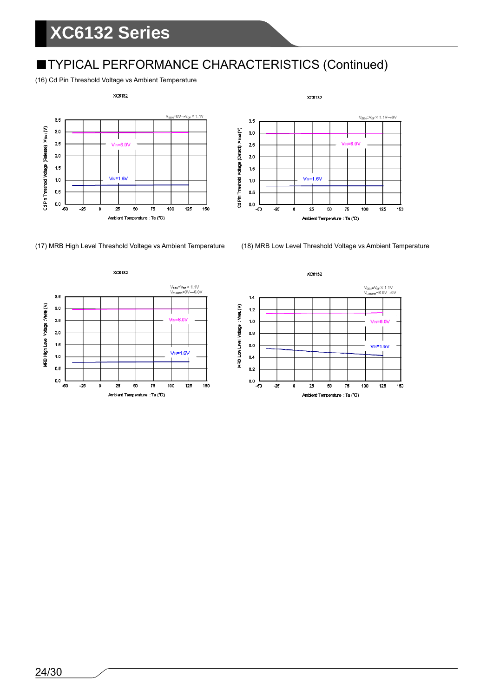## ■TYPICAL PERFORMANCE CHARACTERISTICS (Continued)

(16) Cd Pin Threshold Voltage vs Ambient Temperature





(17) MRB High Level Threshold Voltage vs Ambient Temperature (18) MRB Low Level Threshold Voltage vs Ambient Temperature





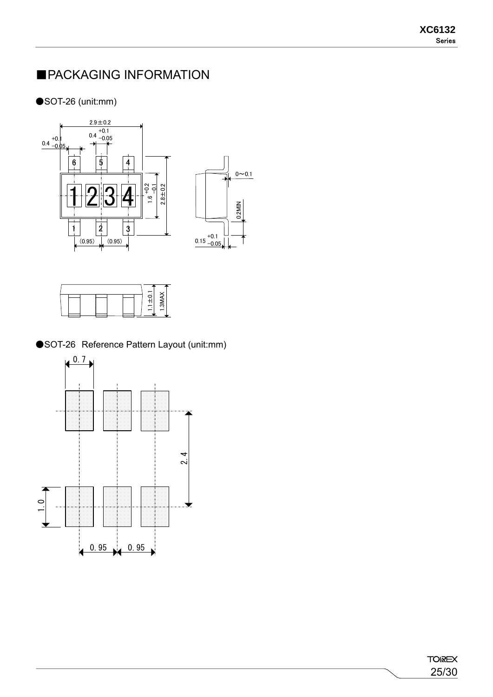### ■PACKAGING INFORMATION

#### ●SOT-26 (unit:mm)





●SOT-26 Reference Pattern Layout (unit:mm)

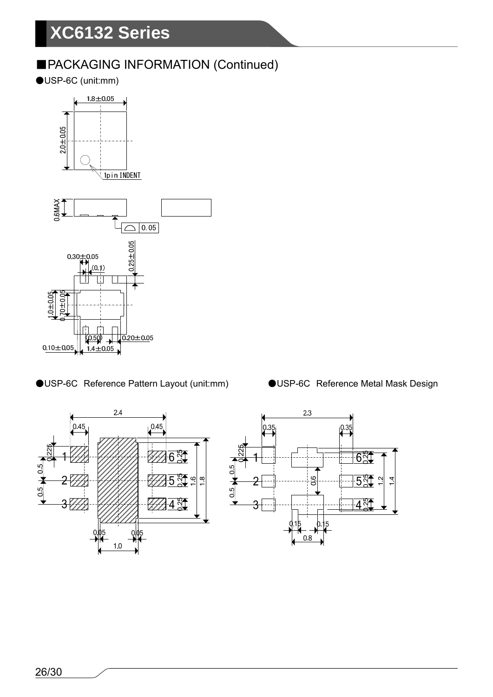### ■PACKAGING INFORMATION (Continued)

●USP-6C (unit:mm)





●USP-6C Reference Pattern Layout (unit:mm) ●USP-6C Reference Metal Mask Design

 $0.45$ 

 $-6\frac{84}{9}$ 

 $\overline{4}$   $\frac{84}{9}$ 

 $2.4$ 

 $1<sub>0</sub>$ 

 $0A<sup>t</sup>$ 

 $-0.5$ 

 $0.5 -$ 

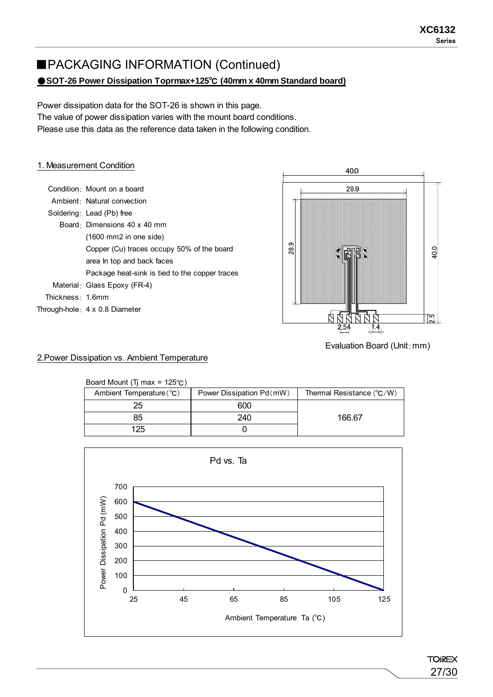#### ● SOT-26 Power Dissipation Toprmax+125<sup>°</sup>C (40mm x 40mm Standard board) ■PACKAGING INFORMATION (Continued)

Power dissipation data for the SOT-26 is shown in this page. The value of power dissipation varies with the mount board conditions. Please use this data as the reference data taken in the following condition.

#### 1. Measurement Condition

|                               | Condition Mount on a board                     |
|-------------------------------|------------------------------------------------|
|                               | Ambient Natural convection                     |
|                               | Soldering: Lead (Pb) free                      |
|                               | Board Dimensions 40 x 40 mm                    |
|                               | $(1600 \text{ mm2}$ in one side)               |
|                               | Copper (Cu) traces occupy 50% of the board     |
|                               | area In top and back faces                     |
|                               | Package heat-sink is tied to the copper traces |
|                               | Material: Glass Epoxy (FR-4)                   |
| Thickness $\frac{1}{2}$ 1.6mm |                                                |
|                               | Through-hole 4 x 0.8 Diameter                  |



Evaluation Board (Unit:mm)

#### 2.Power Dissipation vs. Ambient Temperature

| Board Mount (Tj max = $125^{\circ}$ C) |                          |                                    |
|----------------------------------------|--------------------------|------------------------------------|
| Ambient Temperature (°C)               | Power Dissipation Pd(mW) | Thermal Resistance $(^{\circ}C/W)$ |
| 25                                     | 600                      |                                    |
| 85                                     | 240                      | 166.67                             |
| 125                                    |                          |                                    |

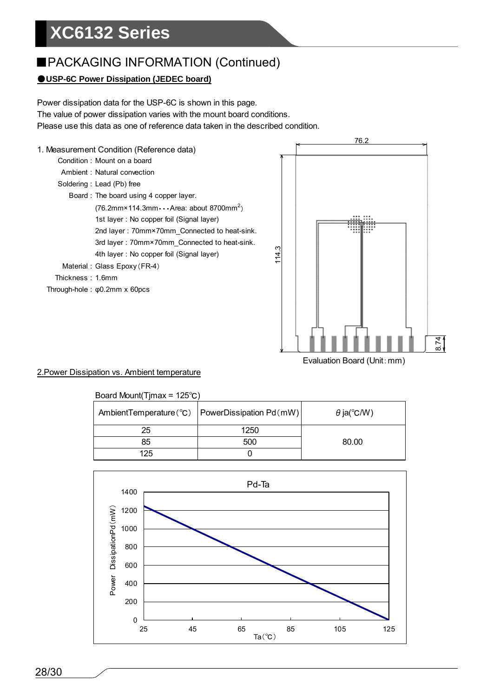### ■PACKAGING INFORMATION (Continued)

#### ●**USP-6C Power Dissipation (JEDEC board)**

Power dissipation data for the USP-6C is shown in this page. The value of power dissipation varies with the mount board conditions. Please use this data as one of reference data taken in the described condition.



#### 2.Power Dissipation vs. Ambient temperature

#### Board Mount(Tjmax = 125℃)

|     | AmbientTemperature(°C)   PowerDissipation Pd(mW) | $\theta$ ja(°C/W) |
|-----|--------------------------------------------------|-------------------|
| 25  | 1250                                             |                   |
| 85  | 500                                              | 80.00             |
| 125 |                                                  |                   |

Evaluation Board (Unit:mm)

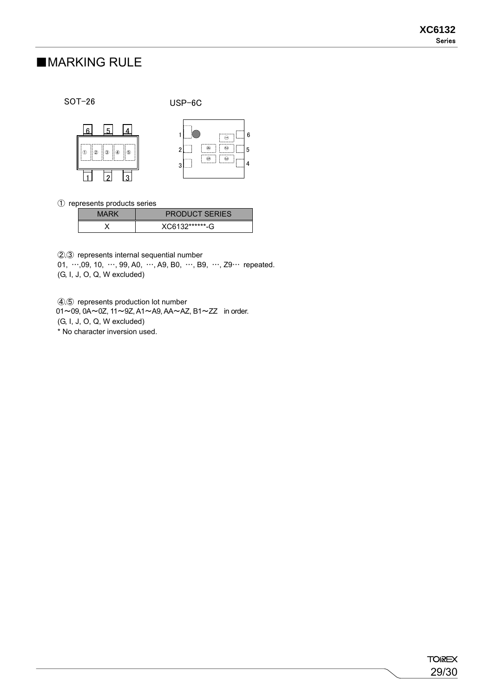### ■MARKING RULE

SOT-26

USP-6C



① represents products series

| MARK | <b>PRODUCT SERIES</b> |
|------|-----------------------|
|      | XC6132*******-G       |

②,③ represents internal sequential number

01, …,09, 10, …, 99, A0, …, A9, B0, …, B9, …, Z9… repeated. (G, I, J, O, Q, W excluded)

④,⑤ represents production lot number

01~09, 0A~0Z, 11~9Z, A1~A9, AA~AZ, B1~ZZ in order. (G, I, J, O, Q, W excluded)

\* No character inversion used.